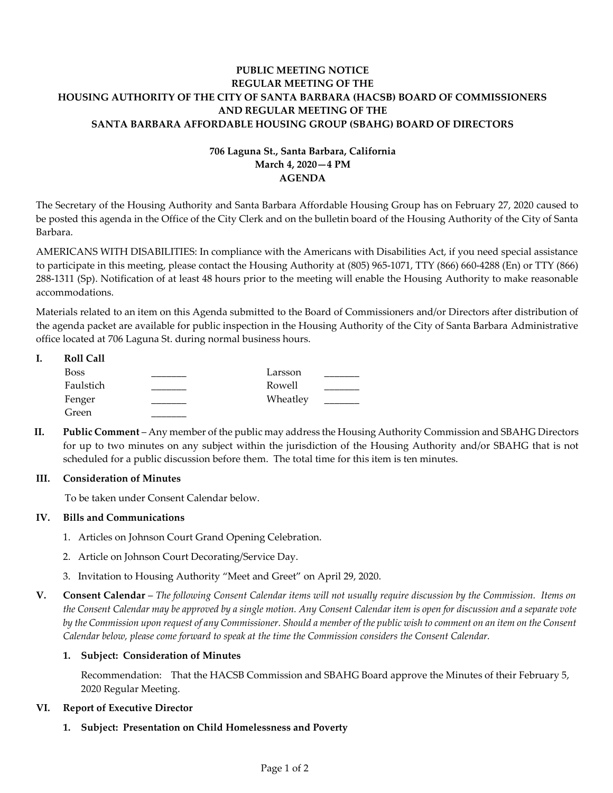# **PUBLIC MEETING NOTICE REGULAR MEETING OF THE HOUSING AUTHORITY OF THE CITY OF SANTA BARBARA (HACSB) BOARD OF COMMISSIONERS AND REGULAR MEETING OF THE SANTA BARBARA AFFORDABLE HOUSING GROUP (SBAHG) BOARD OF DIRECTORS**

# **706 Laguna St., Santa Barbara, California March 4, 2020—4 PM AGENDA**

The Secretary of the Housing Authority and Santa Barbara Affordable Housing Group has on February 27, 2020 caused to be posted this agenda in the Office of the City Clerk and on the bulletin board of the Housing Authority of the City of Santa Barbara.

AMERICANS WITH DISABILITIES: In compliance with the Americans with Disabilities Act, if you need special assistance to participate in this meeting, please contact the Housing Authority at (805) 965-1071, TTY (866) 660-4288 (En) or TTY (866) 288-1311 (Sp). Notification of at least 48 hours prior to the meeting will enable the Housing Authority to make reasonable accommodations.

Materials related to an item on this Agenda submitted to the Board of Commissioners and/or Directors after distribution of the agenda packet are available for public inspection in the Housing Authority of the City of Santa Barbara Administrative office located at 706 Laguna St. during normal business hours.

| <b>Roll Call</b> |          |  |
|------------------|----------|--|
| <b>Boss</b>      | Larsson  |  |
| Faulstich        | Rowell   |  |
| Fenger           | Wheatley |  |
| Green            |          |  |

**II. Public Comment** – Any member of the public may address the Housing Authority Commission and SBAHG Directors for up to two minutes on any subject within the jurisdiction of the Housing Authority and/or SBAHG that is not scheduled for a public discussion before them. The total time for this item is ten minutes.

## **III. Consideration of Minutes**

To be taken under Consent Calendar below.

## **IV. Bills and Communications**

- [1. Articles on Johnson Court Grand Opening Celebration.](https://hacsb.org/download/meetings_2020/items/03_march/Item-IV.1.pdf)
- [2. Article on Johnson Court Decorating/Service Day.](https://hacsb.org/download/meetings_2020/items/03_march/Item-IV.2.pdf)
- [3. Invitation to Housing Authority "Meet and Greet" on April 29, 2020.](https://hacsb.org/download/meetings_2020/items/03_march/Item-IV.3.pdf)
- **V. Consent Calendar** *The following Consent Calendar items will not usually require discussion by the Commission. Items on the Consent Calendar may be approved by a single motion. Any Consent Calendar item is open for discussion and a separate vote by the Commission upon request of any Commissioner. Should a member of the public wish to comment on an item on the Consent Calendar below, please come forward to speak at the time the Commission considers the Consent Calendar.*

## **1. Subject: Consideration of Minutes**

Recommendation: That the HACSB Commission [and SBAHG Board approve the Minutes of their February 5,](https://hacsb.org/download/meetings_2020/items/03_march/Item-V.1.pdf)  2020 Regular Meeting.

## **VI. Report of Executive Director**

## **1. Subject: Presentation on Child Homelessness and Poverty**